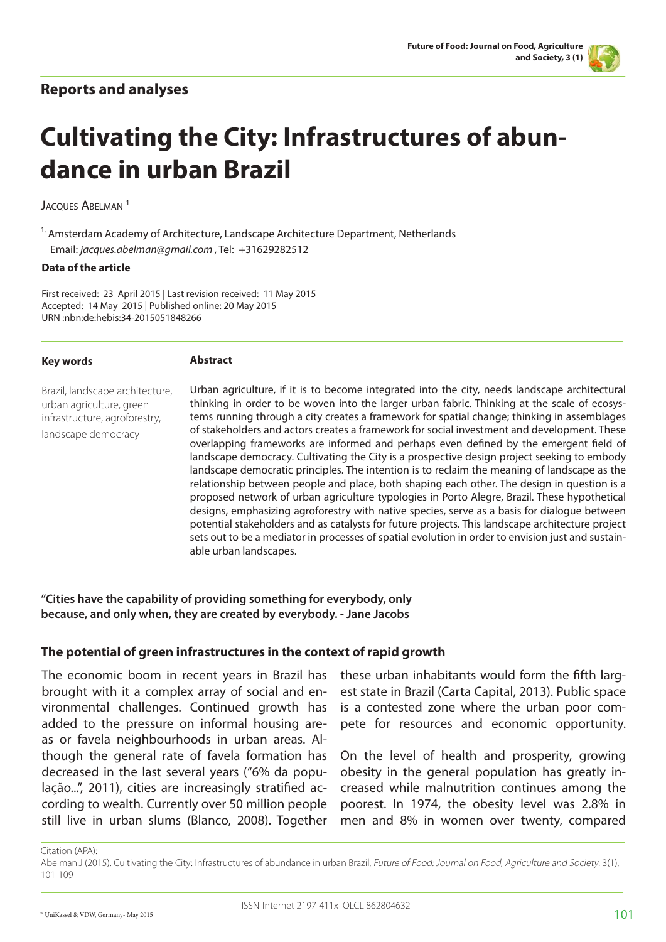## **Reports and analyses**



# **Cultivating the City: Infrastructures of abundance in urban Brazil**

JACOUES ABELMAN<sup>1</sup>

<sup>1.</sup> Amsterdam Academy of Architecture, Landscape Architecture Department, Netherlands Email: *jacques.abelman@gmail.com* , Tel: +31629282512

#### **Data of the article**

First received: 23 April 2015 | Last revision received: 11 May 2015 Accepted: 14 May 2015 | Published online: 20 May 2015 URN :nbn:de:hebis:34-2015051848266

**Abstract**

| <b>Key words</b>                                                                                                    | <b>Abstract</b>                                                                                                                                                                                                                                                                                                                                                                                                                                                                                                                                                                                                                                                                                                                                                                                                                                                                                                                                                                                                                                                                                                                                                                              |
|---------------------------------------------------------------------------------------------------------------------|----------------------------------------------------------------------------------------------------------------------------------------------------------------------------------------------------------------------------------------------------------------------------------------------------------------------------------------------------------------------------------------------------------------------------------------------------------------------------------------------------------------------------------------------------------------------------------------------------------------------------------------------------------------------------------------------------------------------------------------------------------------------------------------------------------------------------------------------------------------------------------------------------------------------------------------------------------------------------------------------------------------------------------------------------------------------------------------------------------------------------------------------------------------------------------------------|
| Brazil, landscape architecture,<br>urban agriculture, green<br>infrastructure, agroforestry,<br>landscape democracy | Urban agriculture, if it is to become integrated into the city, needs landscape architectural<br>thinking in order to be woven into the larger urban fabric. Thinking at the scale of ecosys-<br>tems running through a city creates a framework for spatial change; thinking in assemblages<br>of stakeholders and actors creates a framework for social investment and development. These<br>overlapping frameworks are informed and perhaps even defined by the emergent field of<br>landscape democracy. Cultivating the City is a prospective design project seeking to embody<br>landscape democratic principles. The intention is to reclaim the meaning of landscape as the<br>relationship between people and place, both shaping each other. The design in question is a<br>proposed network of urban agriculture typologies in Porto Alegre, Brazil. These hypothetical<br>designs, emphasizing agroforestry with native species, serve as a basis for dialogue between<br>potential stakeholders and as catalysts for future projects. This landscape architecture project<br>sets out to be a mediator in processes of spatial evolution in order to envision just and sustain- |

**"Cities have the capability of providing something for everybody, only because, and only when, they are created by everybody. - Jane Jacobs**

### **The potential of green infrastructures in the context of rapid growth**

able urban landscapes.

The economic boom in recent years in Brazil has brought with it a complex array of social and environmental challenges. Continued growth has added to the pressure on informal housing areas or favela neighbourhoods in urban areas. Although the general rate of favela formation has decreased in the last several years ("6% da população...", 2011), cities are increasingly stratified according to wealth. Currently over 50 million people still live in urban slums (Blanco, 2008). Together

these urban inhabitants would form the fifth largest state in Brazil (Carta Capital, 2013). Public space is a contested zone where the urban poor compete for resources and economic opportunity.

On the level of health and prosperity, growing obesity in the general population has greatly increased while malnutrition continues among the poorest. In 1974, the obesity level was 2.8% in men and 8% in women over twenty, compared

Citation (APA):

Abelman,J (2015). Cultivating the City: Infrastructures of abundance in urban Brazil, Future of Food: Journal on Food, Agriculture and Society, 3(1), 101-109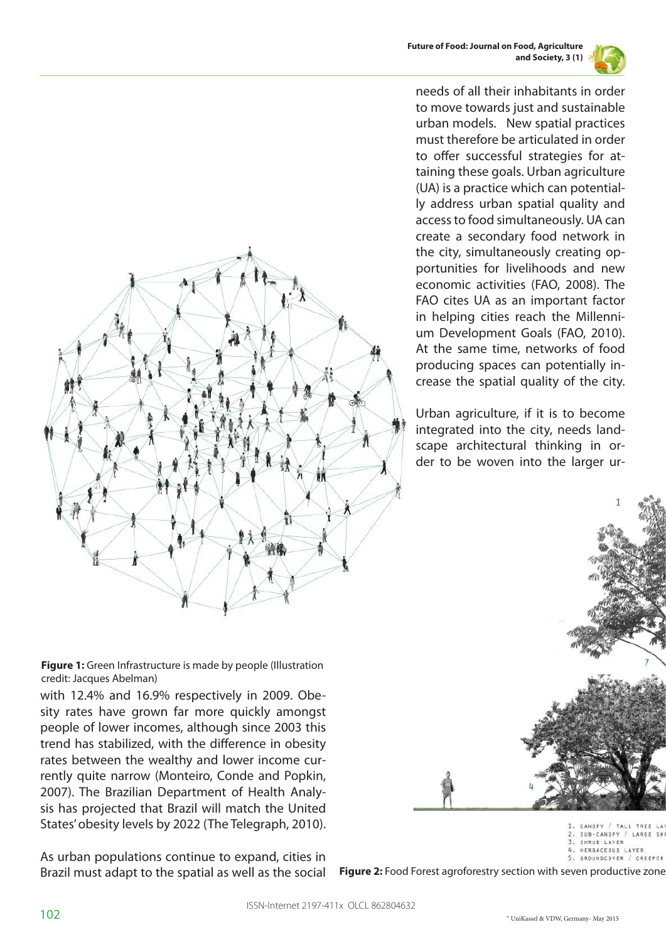



needs of all their inhabitants in order to move towards just and sustainable urban models. New spatial practices must therefore be articulated in order to offer successful strategies for attaining these goals. Urban agriculture (UA) is a practice which can potentially address urban spatial quality and access to food simultaneously. UA can create a secondary food network in the city, simultaneously creating opportunities for livelihoods and new economic activities (FAO, 2008). The FAO cites UA as an important factor in helping cities reach the Millennium Development Goals (FAO, 2010). At the same time, networks of food producing spaces can potentially increase the spatial quality of the city.

Urban agriculture, if it is to become integrated into the city, needs landscape architectural thinking in order to be woven into the larger ur-



CANOPY / TALL TREE SUB-CANOPY / LARGE SHI SHRUB LAYER HERBACEOUS LAYER 5. GROUNDCOVER / CREEPER

**Figure 2:** Food Forest agroforestry section with seven productive zone



**Figure 1:** Green Infrastructure is made by people (Illustration credit: Jacques Abelman)

with 12.4% and 16.9% respectively in 2009. Obesity rates have grown far more quickly amongst people of lower incomes, although since 2003 this trend has stabilized, with the difference in obesity rates between the wealthy and lower income currently quite narrow (Monteiro, Conde and Popkin, 2007). The Brazilian Department of Health Analysis has projected that Brazil will match the United States' obesity levels by 2022 (The Telegraph, 2010).

As urban populations continue to expand, cities in Brazil must adapt to the spatial as well as the social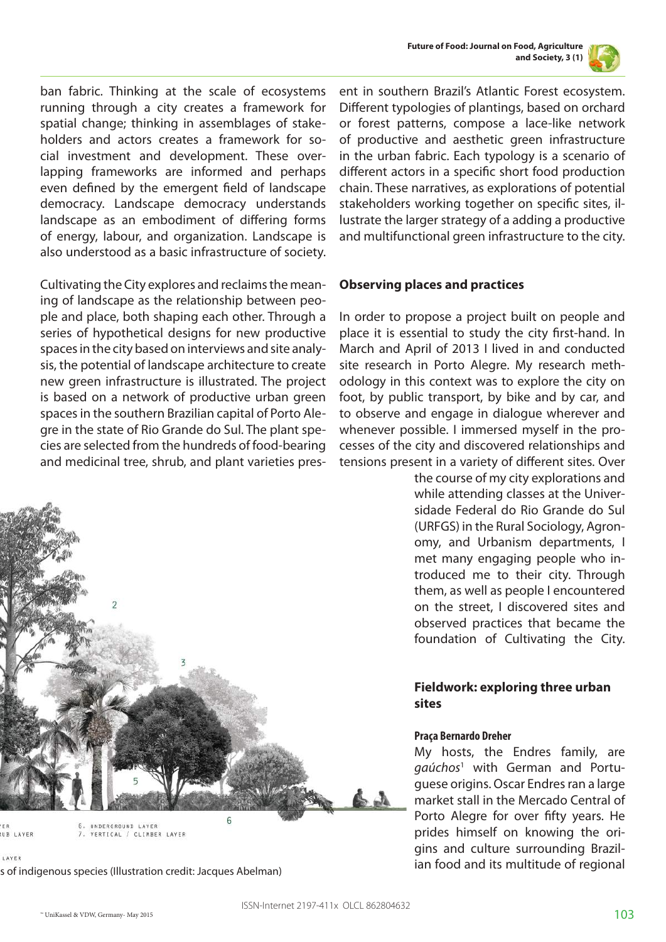



ban fabric. Thinking at the scale of ecosystems running through a city creates a framework for spatial change; thinking in assemblages of stakeholders and actors creates a framework for social investment and development. These overlapping frameworks are informed and perhaps even defined by the emergent field of landscape democracy. Landscape democracy understands landscape as an embodiment of differing forms of energy, labour, and organization. Landscape is also understood as a basic infrastructure of society.

Cultivating the City explores and reclaims the meaning of landscape as the relationship between people and place, both shaping each other. Through a series of hypothetical designs for new productive spaces in the city based on interviews and site analysis, the potential of landscape architecture to create new green infrastructure is illustrated. The project is based on a network of productive urban green spaces in the southern Brazilian capital of Porto Alegre in the state of Rio Grande do Sul. The plant species are selected from the hundreds of food-bearing and medicinal tree, shrub, and plant varieties pres-



#### **Observing places and practices**

In order to propose a project built on people and place it is essential to study the city first-hand. In March and April of 2013 I lived in and conducted site research in Porto Alegre. My research methodology in this context was to explore the city on foot, by public transport, by bike and by car, and to observe and engage in dialogue wherever and whenever possible. I immersed myself in the processes of the city and discovered relationships and tensions present in a variety of different sites. Over

the course of my city explorations and while attending classes at the Universidade Federal do Rio Grande do Sul (URFGS) in the Rural Sociology, Agronomy, and Urbanism departments, I met many engaging people who introduced me to their city. Through them, as well as people I encountered on the street, I discovered sites and observed practices that became the foundation of Cultivating the City.

#### **Fieldwork: exploring three urban sites**

#### **Praça Bernardo Dreher**

My hosts, the Endres family, are *gaúchos*<sup>1</sup> with German and Portuguese origins. Oscar Endres ran a large market stall in the Mercado Central of Porto Alegre for over fifty years. He prides himself on knowing the origins and culture surrounding Brazilian food and its multitude of regional



UB LAYER 7. VERTICAL / CLIMBER LAYER

LAYER

s of indigenous species (Illustration credit: Jacques Abelman)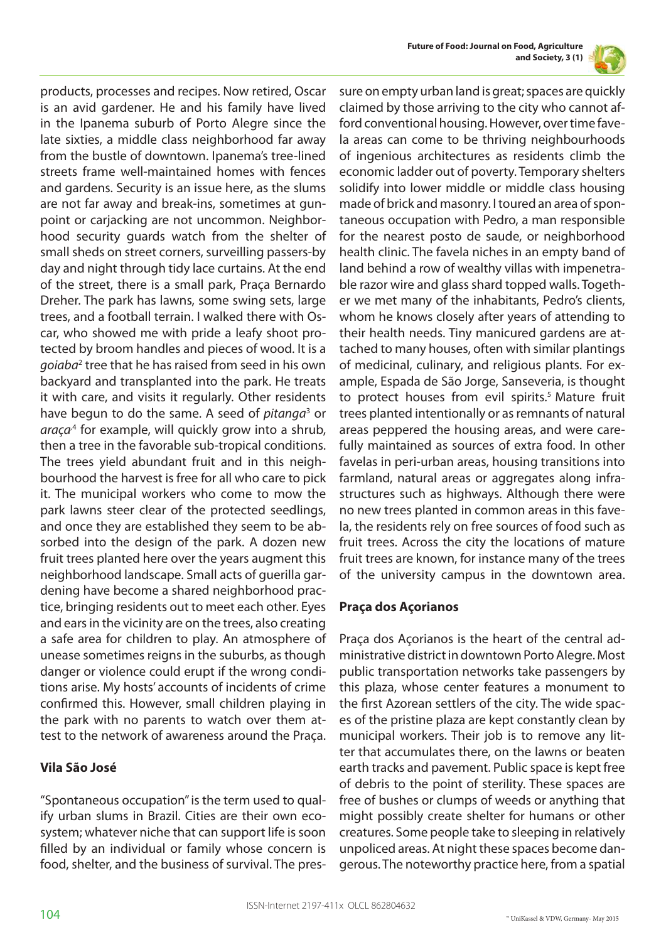

products, processes and recipes. Now retired, Oscar is an avid gardener. He and his family have lived in the Ipanema suburb of Porto Alegre since the late sixties, a middle class neighborhood far away from the bustle of downtown. Ipanema's tree-lined streets frame well-maintained homes with fences and gardens. Security is an issue here, as the slums are not far away and break-ins, sometimes at gunpoint or carjacking are not uncommon. Neighborhood security guards watch from the shelter of small sheds on street corners, surveilling passers-by day and night through tidy lace curtains. At the end of the street, there is a small park, Praça Bernardo Dreher. The park has lawns, some swing sets, large trees, and a football terrain. I walked there with Oscar, who showed me with pride a leafy shoot protected by broom handles and pieces of wood. It is a *goiaba*<sup>2</sup> tree that he has raised from seed in his own backyard and transplanted into the park. He treats it with care, and visits it regularly. Other residents have begun to do the same. A seed of *pitanga*<sup>3</sup> or araça<sup>4</sup> for example, will quickly grow into a shrub, then a tree in the favorable sub-tropical conditions. The trees yield abundant fruit and in this neighbourhood the harvest is free for all who care to pick it. The municipal workers who come to mow the park lawns steer clear of the protected seedlings, and once they are established they seem to be absorbed into the design of the park. A dozen new fruit trees planted here over the years augment this neighborhood landscape. Small acts of guerilla gardening have become a shared neighborhood practice, bringing residents out to meet each other. Eyes and ears in the vicinity are on the trees, also creating a safe area for children to play. An atmosphere of unease sometimes reigns in the suburbs, as though danger or violence could erupt if the wrong conditions arise. My hosts' accounts of incidents of crime confirmed this. However, small children playing in the park with no parents to watch over them attest to the network of awareness around the Praça.

### **Vila São José**

"Spontaneous occupation" is the term used to qualify urban slums in Brazil. Cities are their own ecosystem; whatever niche that can support life is soon filled by an individual or family whose concern is food, shelter, and the business of survival. The pressure on empty urban land is great; spaces are quickly claimed by those arriving to the city who cannot afford conventional housing. However, over time favela areas can come to be thriving neighbourhoods of ingenious architectures as residents climb the economic ladder out of poverty. Temporary shelters solidify into lower middle or middle class housing made of brick and masonry. I toured an area of spontaneous occupation with Pedro, a man responsible for the nearest posto de saude, or neighborhood health clinic. The favela niches in an empty band of land behind a row of wealthy villas with impenetrable razor wire and glass shard topped walls. Together we met many of the inhabitants, Pedro's clients, whom he knows closely after years of attending to their health needs. Tiny manicured gardens are attached to many houses, often with similar plantings of medicinal, culinary, and religious plants. For example, Espada de São Jorge, Sanseveria, is thought to protect houses from evil spirits.<sup>5</sup> Mature fruit trees planted intentionally or as remnants of natural areas peppered the housing areas, and were carefully maintained as sources of extra food. In other favelas in peri-urban areas, housing transitions into farmland, natural areas or aggregates along infrastructures such as highways. Although there were no new trees planted in common areas in this favela, the residents rely on free sources of food such as fruit trees. Across the city the locations of mature fruit trees are known, for instance many of the trees of the university campus in the downtown area.

### **Praça dos Açorianos**

Praça dos Açorianos is the heart of the central administrative district in downtown Porto Alegre. Most public transportation networks take passengers by this plaza, whose center features a monument to the first Azorean settlers of the city. The wide spaces of the pristine plaza are kept constantly clean by municipal workers. Their job is to remove any litter that accumulates there, on the lawns or beaten earth tracks and pavement. Public space is kept free of debris to the point of sterility. These spaces are free of bushes or clumps of weeds or anything that might possibly create shelter for humans or other creatures. Some people take to sleeping in relatively unpoliced areas. At night these spaces become dangerous. The noteworthy practice here, from a spatial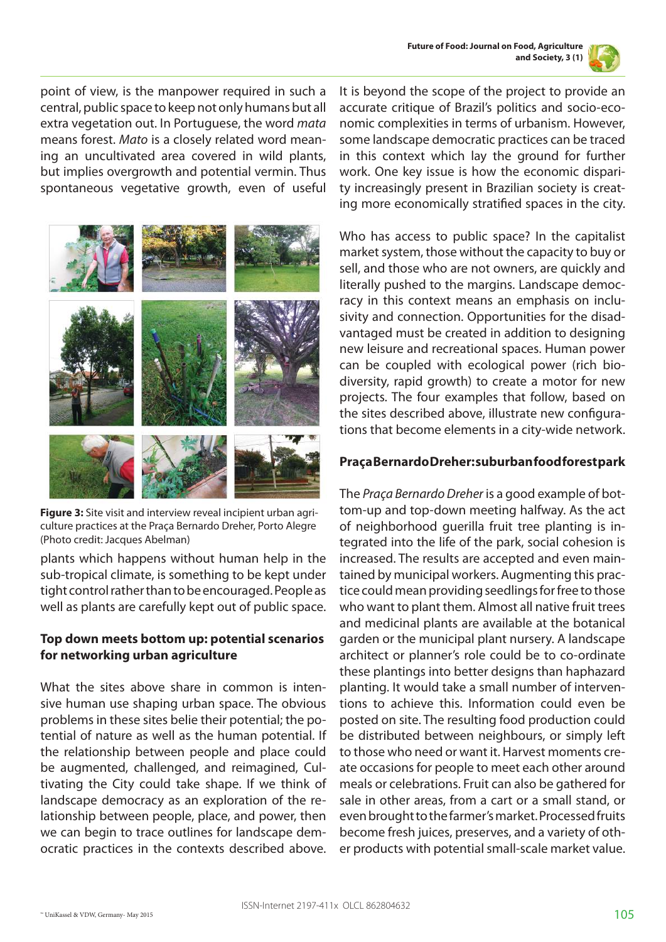

point of view, is the manpower required in such a central, public space to keep not only humans but all extra vegetation out. In Portuguese, the word *mata* means forest. *Mato* is a closely related word meaning an uncultivated area covered in wild plants, but implies overgrowth and potential vermin. Thus spontaneous vegetative growth, even of useful



**Figure 3:** Site visit and interview reveal incipient urban agriculture practices at the Praça Bernardo Dreher, Porto Alegre (Photo credit: Jacques Abelman)

plants which happens without human help in the sub-tropical climate, is something to be kept under tight control rather than to be encouraged. People as well as plants are carefully kept out of public space.

### **Top down meets bottom up: potential scenarios for networking urban agriculture**

What the sites above share in common is intensive human use shaping urban space. The obvious problems in these sites belie their potential; the potential of nature as well as the human potential. If the relationship between people and place could be augmented, challenged, and reimagined, Cultivating the City could take shape. If we think of landscape democracy as an exploration of the relationship between people, place, and power, then we can begin to trace outlines for landscape democratic practices in the contexts described above. It is beyond the scope of the project to provide an accurate critique of Brazil's politics and socio-economic complexities in terms of urbanism. However, some landscape democratic practices can be traced in this context which lay the ground for further work. One key issue is how the economic disparity increasingly present in Brazilian society is creating more economically stratified spaces in the city.

Who has access to public space? In the capitalist market system, those without the capacity to buy or sell, and those who are not owners, are quickly and literally pushed to the margins. Landscape democracy in this context means an emphasis on inclusivity and connection. Opportunities for the disadvantaged must be created in addition to designing new leisure and recreational spaces. Human power can be coupled with ecological power (rich biodiversity, rapid growth) to create a motor for new projects. The four examples that follow, based on the sites described above, illustrate new configurations that become elements in a city-wide network.

## **Praça Bernardo Dreher: suburban food forest park**

The *Praça Bernardo Dreher* is a good example of bottom-up and top-down meeting halfway. As the act of neighborhood guerilla fruit tree planting is integrated into the life of the park, social cohesion is increased. The results are accepted and even maintained by municipal workers. Augmenting this practice could mean providing seedlings for free to those who want to plant them. Almost all native fruit trees and medicinal plants are available at the botanical garden or the municipal plant nursery. A landscape architect or planner's role could be to co-ordinate these plantings into better designs than haphazard planting. It would take a small number of interventions to achieve this. Information could even be posted on site. The resulting food production could be distributed between neighbours, or simply left to those who need or want it. Harvest moments create occasions for people to meet each other around meals or celebrations. Fruit can also be gathered for sale in other areas, from a cart or a small stand, or even brought to the farmer's market. Processed fruits become fresh juices, preserves, and a variety of other products with potential small-scale market value.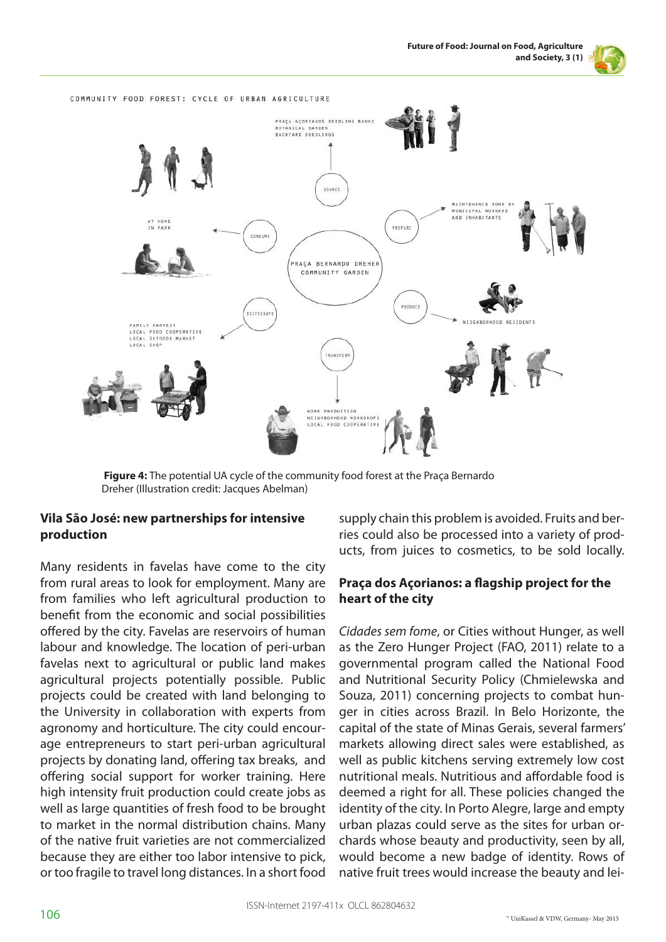



 **Figure 4:** The potential UA cycle of the community food forest at the Praça Bernardo Dreher (Illustration credit: Jacques Abelman)

## **Vila São José: new partnerships for intensive production**

Many residents in favelas have come to the city from rural areas to look for employment. Many are from families who left agricultural production to benefit from the economic and social possibilities offered by the city. Favelas are reservoirs of human labour and knowledge. The location of peri-urban favelas next to agricultural or public land makes agricultural projects potentially possible. Public projects could be created with land belonging to the University in collaboration with experts from agronomy and horticulture. The city could encourage entrepreneurs to start peri-urban agricultural projects by donating land, offering tax breaks, and offering social support for worker training. Here high intensity fruit production could create jobs as well as large quantities of fresh food to be brought to market in the normal distribution chains. Many of the native fruit varieties are not commercialized because they are either too labor intensive to pick, or too fragile to travel long distances. In a short food

supply chain this problem is avoided. Fruits and berries could also be processed into a variety of products, from juices to cosmetics, to be sold locally.

## **Praça dos Açorianos: a flagship project for the heart of the city**

*Cidades sem fome*, or Cities without Hunger, as well as the Zero Hunger Project (FAO, 2011) relate to a governmental program called the National Food and Nutritional Security Policy (Chmielewska and Souza, 2011) concerning projects to combat hunger in cities across Brazil. In Belo Horizonte, the capital of the state of Minas Gerais, several farmers' markets allowing direct sales were established, as well as public kitchens serving extremely low cost nutritional meals. Nutritious and affordable food is deemed a right for all. These policies changed the identity of the city. In Porto Alegre, large and empty urban plazas could serve as the sites for urban orchards whose beauty and productivity, seen by all, would become a new badge of identity. Rows of native fruit trees would increase the beauty and lei-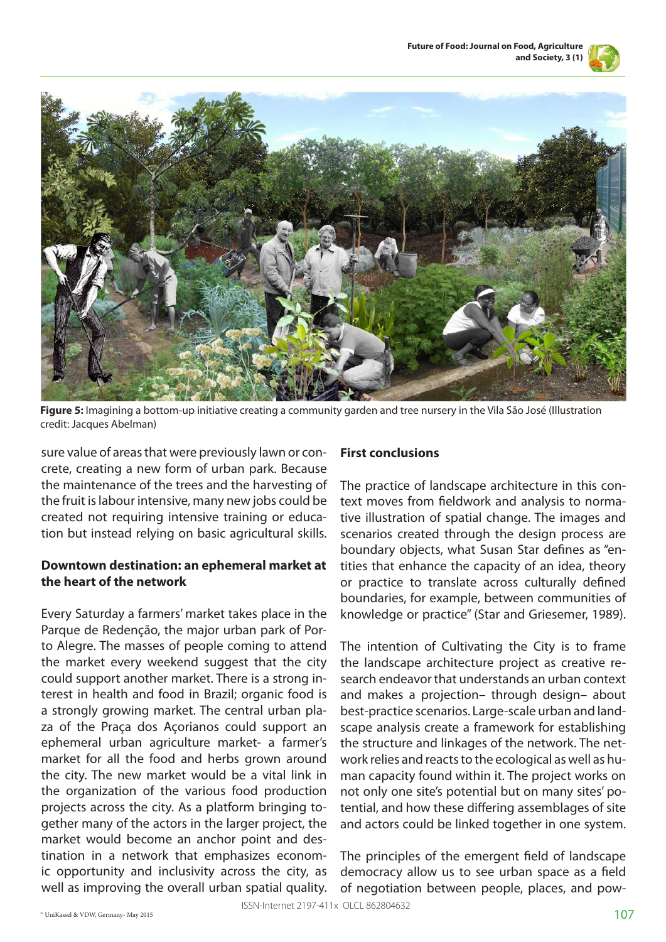



**Figure 5:** Imagining a bottom-up initiative creating a community garden and tree nursery in the Vila São José (Illustration credit: Jacques Abelman)

sure value of areas that were previously lawn or concrete, creating a new form of urban park. Because the maintenance of the trees and the harvesting of the fruit is labour intensive, many new jobs could be created not requiring intensive training or education but instead relying on basic agricultural skills.

#### **Downtown destination: an ephemeral market at the heart of the network**

Every Saturday a farmers' market takes place in the Parque de Redenção, the major urban park of Porto Alegre. The masses of people coming to attend the market every weekend suggest that the city could support another market. There is a strong interest in health and food in Brazil; organic food is a strongly growing market. The central urban plaza of the Praça dos Açorianos could support an ephemeral urban agriculture market- a farmer's market for all the food and herbs grown around the city. The new market would be a vital link in the organization of the various food production projects across the city. As a platform bringing together many of the actors in the larger project, the market would become an anchor point and destination in a network that emphasizes economic opportunity and inclusivity across the city, as well as improving the overall urban spatial quality.

## **First conclusions**

The practice of landscape architecture in this context moves from fieldwork and analysis to normative illustration of spatial change. The images and scenarios created through the design process are boundary objects, what Susan Star defines as "entities that enhance the capacity of an idea, theory or practice to translate across culturally defined boundaries, for example, between communities of knowledge or practice" (Star and Griesemer, 1989).

The intention of Cultivating the City is to frame the landscape architecture project as creative research endeavor that understands an urban context and makes a projection– through design– about best-practice scenarios. Large-scale urban and landscape analysis create a framework for establishing the structure and linkages of the network. The network relies and reacts to the ecological as well as human capacity found within it. The project works on not only one site's potential but on many sites' potential, and how these differing assemblages of site and actors could be linked together in one system.

The principles of the emergent field of landscape democracy allow us to see urban space as a field of negotiation between people, places, and pow-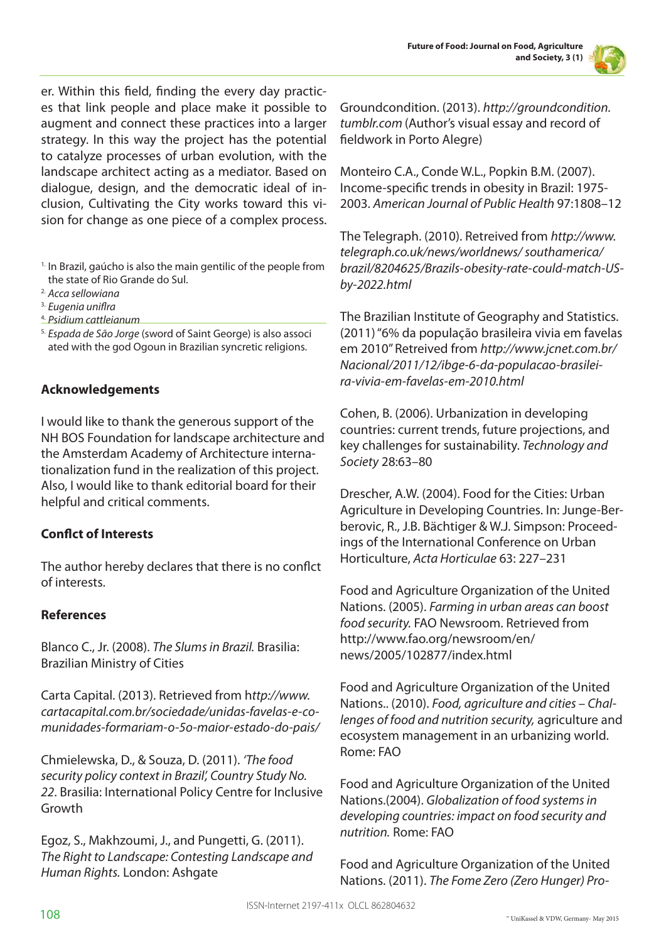

er. Within this field, finding the every day practices that link people and place make it possible to augment and connect these practices into a larger strategy. In this way the project has the potential to catalyze processes of urban evolution, with the landscape architect acting as a mediator. Based on dialogue, design, and the democratic ideal of inclusion, Cultivating the City works toward this vision for change as one piece of a complex process.

- <sup>1.</sup> In Brazil, gaúcho is also the main gentilic of the people from the state of Rio Grande do Sul.
- 2. *Acca sellowiana*
- 3. *Eugenia uniflra*
- 4. *Psidium cattleianum*
- 5. *Espada de São Jorge* (sword of Saint George) is also associ ated with the god Ogoun in Brazilian syncretic religions.

### **Acknowledgements**

I would like to thank the generous support of the NH BOS Foundation for landscape architecture and the Amsterdam Academy of Architecture internationalization fund in the realization of this project. Also, I would like to thank editorial board for their helpful and critical comments.

### **Conflct of Interests**

The author hereby declares that there is no conflct of interests.

#### **References**

Blanco C., Jr. (2008). *The Slums in Brazil.* Brasilia: Brazilian Ministry of Cities

Carta Capital. (2013). Retrieved from h*ttp://www. cartacapital.com.br/sociedade/unidas-favelas-e-comunidades-formariam-o-5o-maior-estado-do-pais/* 

Chmielewska, D., & Souza, D. (2011). *'The food security policy context in Brazil', Country Study No. 22*. Brasilia: International Policy Centre for Inclusive Growth

Egoz, S., Makhzoumi, J., and Pungetti, G. (2011). *The Right to Landscape: Contesting Landscape and Human Rights.* London: Ashgate

Groundcondition. (2013). *http://groundcondition. tumblr.com* (Author's visual essay and record of fieldwork in Porto Alegre)

Monteiro C.A., Conde W.L., Popkin B.M. (2007). Income-specific trends in obesity in Brazil: 1975- 2003. *American Journal of Public Health* 97:1808–12

The Telegraph. (2010). Retreived from *http://www. telegraph.co.uk/news/worldnews/ southamerica/ brazil/8204625/Brazils-obesity-rate-could-match-USby-2022.html*

The Brazilian Institute of Geography and Statistics. (2011) "6% da população brasileira vivia em favelas em 2010" Retreived from *http://www.jcnet.com.br/ Nacional/2011/12/ibge-6-da-populacao-brasileira-vivia-em-favelas-em-2010.html* 

Cohen, B. (2006). Urbanization in developing countries: current trends, future projections, and key challenges for sustainability. *Technology and Society* 28:63–80

Drescher, A.W. (2004). Food for the Cities: Urban Agriculture in Developing Countries. In: Junge-Berberovic, R., J.B. Bächtiger & W.J. Simpson: Proceedings of the International Conference on Urban Horticulture, *Acta Horticulae* 63: 227–231

Food and Agriculture Organization of the United Nations. (2005). *Farming in urban areas can boost food security.* FAO Newsroom. Retrieved from http://www.fao.org/newsroom/en/ news/2005/102877/index.html

Food and Agriculture Organization of the United Nations.. (2010). *Food, agriculture and cities – Challenges of food and nutrition security,* agriculture and ecosystem management in an urbanizing world. Rome: FAO

Food and Agriculture Organization of the United Nations.(2004). *Globalization of food systems in developing countries: impact on food security and nutrition.* Rome: FAO

Food and Agriculture Organization of the United Nations. (2011). *The Fome Zero (Zero Hunger) Pro-*